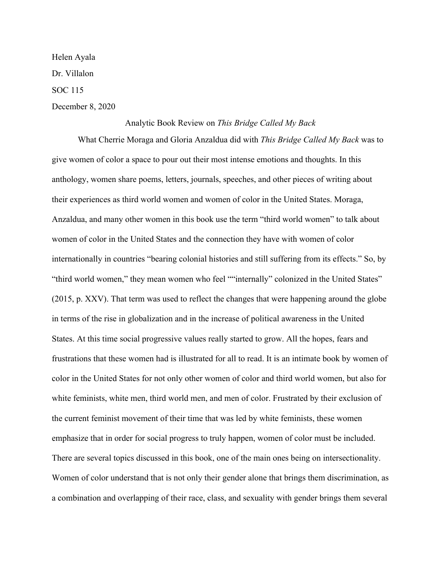Helen Ayala Dr. Villalon SOC 115 December 8, 2020

## Analytic Book Review on *This Bridge Called My Back*

What Cherrie Moraga and Gloria Anzaldua did with *This Bridge Called My Back* was to give women of color a space to pour out their most intense emotions and thoughts. In this anthology, women share poems, letters, journals, speeches, and other pieces of writing about their experiences as third world women and women of color in the United States. Moraga, Anzaldua, and many other women in this book use the term "third world women" to talk about women of color in the United States and the connection they have with women of color internationally in countries "bearing colonial histories and still suffering from its effects." So, by "third world women," they mean women who feel ""internally" colonized in the United States" (2015, p. XXV). That term was used to reflect the changes that were happening around the globe in terms of the rise in globalization and in the increase of political awareness in the United States. At this time social progressive values really started to grow. All the hopes, fears and frustrations that these women had is illustrated for all to read. It is an intimate book by women of color in the United States for not only other women of color and third world women, but also for white feminists, white men, third world men, and men of color. Frustrated by their exclusion of the current feminist movement of their time that was led by white feminists, these women emphasize that in order for social progress to truly happen, women of color must be included. There are several topics discussed in this book, one of the main ones being on intersectionality. Women of color understand that is not only their gender alone that brings them discrimination, as a combination and overlapping of their race, class, and sexuality with gender brings them several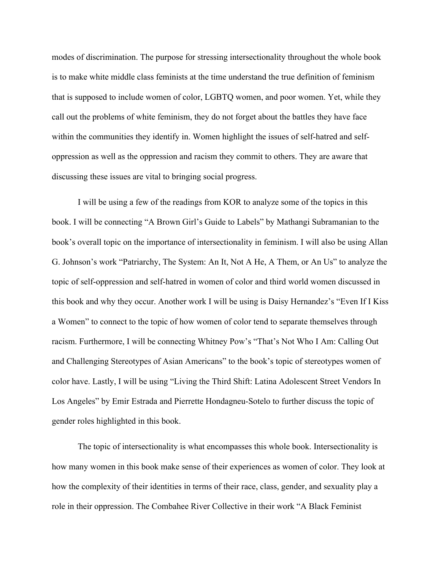modes of discrimination. The purpose for stressing intersectionality throughout the whole book is to make white middle class feminists at the time understand the true definition of feminism that is supposed to include women of color, LGBTQ women, and poor women. Yet, while they call out the problems of white feminism, they do not forget about the battles they have face within the communities they identify in. Women highlight the issues of self-hatred and selfoppression as well as the oppression and racism they commit to others. They are aware that discussing these issues are vital to bringing social progress.

I will be using a few of the readings from KOR to analyze some of the topics in this book. I will be connecting "A Brown Girl's Guide to Labels" by Mathangi Subramanian to the book's overall topic on the importance of intersectionality in feminism. I will also be using Allan G. Johnson's work "Patriarchy, The System: An It, Not A He, A Them, or An Us" to analyze the topic of self-oppression and self-hatred in women of color and third world women discussed in this book and why they occur. Another work I will be using is Daisy Hernandez's "Even If I Kiss a Women" to connect to the topic of how women of color tend to separate themselves through racism. Furthermore, I will be connecting Whitney Pow's "That's Not Who I Am: Calling Out and Challenging Stereotypes of Asian Americans" to the book's topic of stereotypes women of color have. Lastly, I will be using "Living the Third Shift: Latina Adolescent Street Vendors In Los Angeles" by Emir Estrada and Pierrette Hondagneu-Sotelo to further discuss the topic of gender roles highlighted in this book.

The topic of intersectionality is what encompasses this whole book. Intersectionality is how many women in this book make sense of their experiences as women of color. They look at how the complexity of their identities in terms of their race, class, gender, and sexuality play a role in their oppression. The Combahee River Collective in their work "A Black Feminist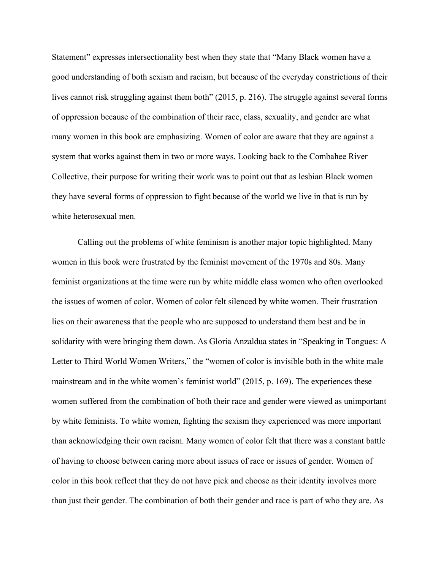Statement" expresses intersectionality best when they state that "Many Black women have a good understanding of both sexism and racism, but because of the everyday constrictions of their lives cannot risk struggling against them both" (2015, p. 216). The struggle against several forms of oppression because of the combination of their race, class, sexuality, and gender are what many women in this book are emphasizing. Women of color are aware that they are against a system that works against them in two or more ways. Looking back to the Combahee River Collective, their purpose for writing their work was to point out that as lesbian Black women they have several forms of oppression to fight because of the world we live in that is run by white heterosexual men.

Calling out the problems of white feminism is another major topic highlighted. Many women in this book were frustrated by the feminist movement of the 1970s and 80s. Many feminist organizations at the time were run by white middle class women who often overlooked the issues of women of color. Women of color felt silenced by white women. Their frustration lies on their awareness that the people who are supposed to understand them best and be in solidarity with were bringing them down. As Gloria Anzaldua states in "Speaking in Tongues: A Letter to Third World Women Writers," the "women of color is invisible both in the white male mainstream and in the white women's feminist world" (2015, p. 169). The experiences these women suffered from the combination of both their race and gender were viewed as unimportant by white feminists. To white women, fighting the sexism they experienced was more important than acknowledging their own racism. Many women of color felt that there was a constant battle of having to choose between caring more about issues of race or issues of gender. Women of color in this book reflect that they do not have pick and choose as their identity involves more than just their gender. The combination of both their gender and race is part of who they are. As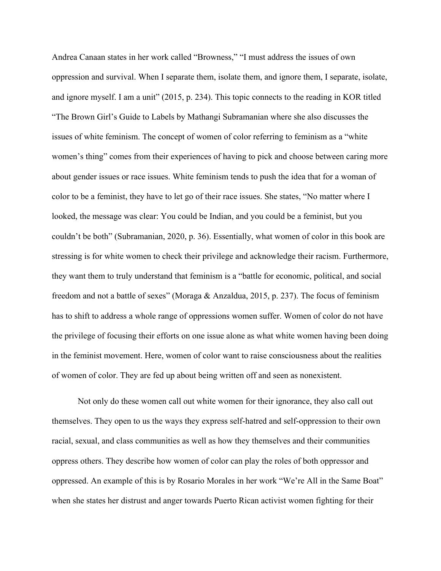Andrea Canaan states in her work called "Browness," "I must address the issues of own oppression and survival. When I separate them, isolate them, and ignore them, I separate, isolate, and ignore myself. I am a unit" (2015, p. 234). This topic connects to the reading in KOR titled "The Brown Girl's Guide to Labels by Mathangi Subramanian where she also discusses the issues of white feminism. The concept of women of color referring to feminism as a "white women's thing" comes from their experiences of having to pick and choose between caring more about gender issues or race issues. White feminism tends to push the idea that for a woman of color to be a feminist, they have to let go of their race issues. She states, "No matter where I looked, the message was clear: You could be Indian, and you could be a feminist, but you couldn't be both" (Subramanian, 2020, p. 36). Essentially, what women of color in this book are stressing is for white women to check their privilege and acknowledge their racism. Furthermore, they want them to truly understand that feminism is a "battle for economic, political, and social freedom and not a battle of sexes" (Moraga & Anzaldua, 2015, p. 237). The focus of feminism has to shift to address a whole range of oppressions women suffer. Women of color do not have the privilege of focusing their efforts on one issue alone as what white women having been doing in the feminist movement. Here, women of color want to raise consciousness about the realities of women of color. They are fed up about being written off and seen as nonexistent.

Not only do these women call out white women for their ignorance, they also call out themselves. They open to us the ways they express self-hatred and self-oppression to their own racial, sexual, and class communities as well as how they themselves and their communities oppress others. They describe how women of color can play the roles of both oppressor and oppressed. An example of this is by Rosario Morales in her work "We're All in the Same Boat" when she states her distrust and anger towards Puerto Rican activist women fighting for their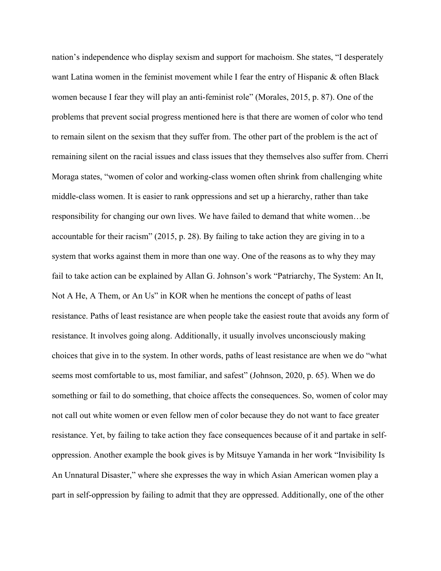nation's independence who display sexism and support for machoism. She states, "I desperately want Latina women in the feminist movement while I fear the entry of Hispanic & often Black women because I fear they will play an anti-feminist role" (Morales, 2015, p. 87). One of the problems that prevent social progress mentioned here is that there are women of color who tend to remain silent on the sexism that they suffer from. The other part of the problem is the act of remaining silent on the racial issues and class issues that they themselves also suffer from. Cherri Moraga states, "women of color and working-class women often shrink from challenging white middle-class women. It is easier to rank oppressions and set up a hierarchy, rather than take responsibility for changing our own lives. We have failed to demand that white women…be accountable for their racism" (2015, p. 28). By failing to take action they are giving in to a system that works against them in more than one way. One of the reasons as to why they may fail to take action can be explained by Allan G. Johnson's work "Patriarchy, The System: An It, Not A He, A Them, or An Us" in KOR when he mentions the concept of paths of least resistance. Paths of least resistance are when people take the easiest route that avoids any form of resistance. It involves going along. Additionally, it usually involves unconsciously making choices that give in to the system. In other words, paths of least resistance are when we do "what seems most comfortable to us, most familiar, and safest" (Johnson, 2020, p. 65). When we do something or fail to do something, that choice affects the consequences. So, women of color may not call out white women or even fellow men of color because they do not want to face greater resistance. Yet, by failing to take action they face consequences because of it and partake in selfoppression. Another example the book gives is by Mitsuye Yamanda in her work "Invisibility Is An Unnatural Disaster," where she expresses the way in which Asian American women play a part in self-oppression by failing to admit that they are oppressed. Additionally, one of the other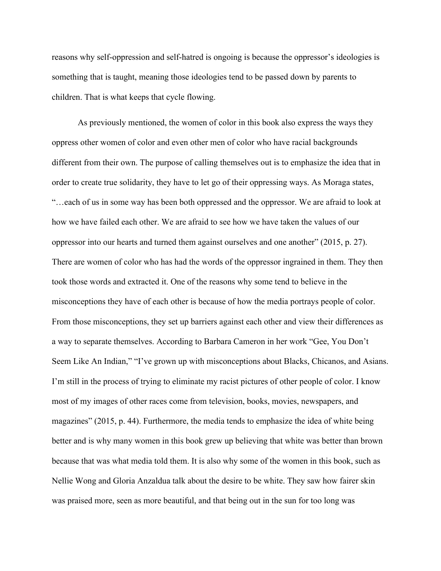reasons why self-oppression and self-hatred is ongoing is because the oppressor's ideologies is something that is taught, meaning those ideologies tend to be passed down by parents to children. That is what keeps that cycle flowing.

As previously mentioned, the women of color in this book also express the ways they oppress other women of color and even other men of color who have racial backgrounds different from their own. The purpose of calling themselves out is to emphasize the idea that in order to create true solidarity, they have to let go of their oppressing ways. As Moraga states, "…each of us in some way has been both oppressed and the oppressor. We are afraid to look at how we have failed each other. We are afraid to see how we have taken the values of our oppressor into our hearts and turned them against ourselves and one another" (2015, p. 27). There are women of color who has had the words of the oppressor ingrained in them. They then took those words and extracted it. One of the reasons why some tend to believe in the misconceptions they have of each other is because of how the media portrays people of color. From those misconceptions, they set up barriers against each other and view their differences as a way to separate themselves. According to Barbara Cameron in her work "Gee, You Don't Seem Like An Indian," "I've grown up with misconceptions about Blacks, Chicanos, and Asians. I'm still in the process of trying to eliminate my racist pictures of other people of color. I know most of my images of other races come from television, books, movies, newspapers, and magazines" (2015, p. 44). Furthermore, the media tends to emphasize the idea of white being better and is why many women in this book grew up believing that white was better than brown because that was what media told them. It is also why some of the women in this book, such as Nellie Wong and Gloria Anzaldua talk about the desire to be white. They saw how fairer skin was praised more, seen as more beautiful, and that being out in the sun for too long was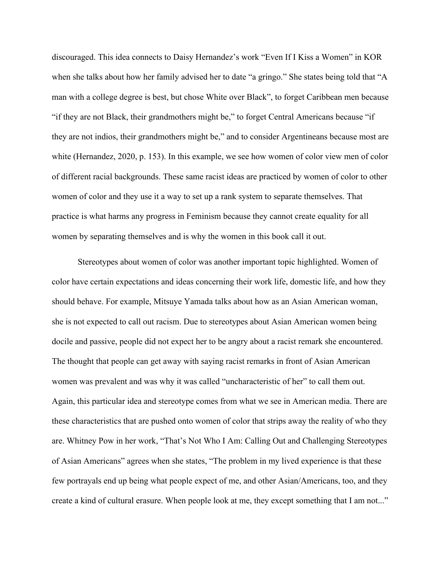discouraged. This idea connects to Daisy Hernandez's work "Even If I Kiss a Women" in KOR when she talks about how her family advised her to date "a gringo." She states being told that "A man with a college degree is best, but chose White over Black", to forget Caribbean men because "if they are not Black, their grandmothers might be," to forget Central Americans because "if they are not indios, their grandmothers might be," and to consider Argentineans because most are white (Hernandez, 2020, p. 153). In this example, we see how women of color view men of color of different racial backgrounds. These same racist ideas are practiced by women of color to other women of color and they use it a way to set up a rank system to separate themselves. That practice is what harms any progress in Feminism because they cannot create equality for all women by separating themselves and is why the women in this book call it out.

Stereotypes about women of color was another important topic highlighted. Women of color have certain expectations and ideas concerning their work life, domestic life, and how they should behave. For example, Mitsuye Yamada talks about how as an Asian American woman, she is not expected to call out racism. Due to stereotypes about Asian American women being docile and passive, people did not expect her to be angry about a racist remark she encountered. The thought that people can get away with saying racist remarks in front of Asian American women was prevalent and was why it was called "uncharacteristic of her" to call them out. Again, this particular idea and stereotype comes from what we see in American media. There are these characteristics that are pushed onto women of color that strips away the reality of who they are. Whitney Pow in her work, "That's Not Who I Am: Calling Out and Challenging Stereotypes of Asian Americans" agrees when she states, "The problem in my lived experience is that these few portrayals end up being what people expect of me, and other Asian/Americans, too, and they create a kind of cultural erasure. When people look at me, they except something that I am not..."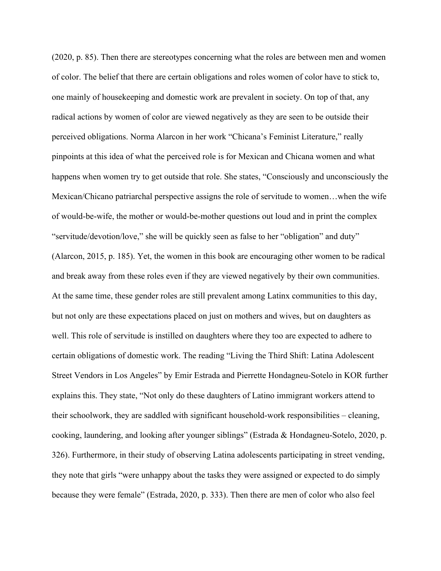(2020, p. 85). Then there are stereotypes concerning what the roles are between men and women of color. The belief that there are certain obligations and roles women of color have to stick to, one mainly of housekeeping and domestic work are prevalent in society. On top of that, any radical actions by women of color are viewed negatively as they are seen to be outside their perceived obligations. Norma Alarcon in her work "Chicana's Feminist Literature," really pinpoints at this idea of what the perceived role is for Mexican and Chicana women and what happens when women try to get outside that role. She states, "Consciously and unconsciously the Mexican/Chicano patriarchal perspective assigns the role of servitude to women…when the wife of would-be-wife, the mother or would-be-mother questions out loud and in print the complex "servitude/devotion/love," she will be quickly seen as false to her "obligation" and duty" (Alarcon, 2015, p. 185). Yet, the women in this book are encouraging other women to be radical and break away from these roles even if they are viewed negatively by their own communities. At the same time, these gender roles are still prevalent among Latinx communities to this day, but not only are these expectations placed on just on mothers and wives, but on daughters as well. This role of servitude is instilled on daughters where they too are expected to adhere to certain obligations of domestic work. The reading "Living the Third Shift: Latina Adolescent Street Vendors in Los Angeles" by Emir Estrada and Pierrette Hondagneu-Sotelo in KOR further explains this. They state, "Not only do these daughters of Latino immigrant workers attend to their schoolwork, they are saddled with significant household-work responsibilities – cleaning, cooking, laundering, and looking after younger siblings" (Estrada & Hondagneu-Sotelo, 2020, p. 326). Furthermore, in their study of observing Latina adolescents participating in street vending, they note that girls "were unhappy about the tasks they were assigned or expected to do simply because they were female" (Estrada, 2020, p. 333). Then there are men of color who also feel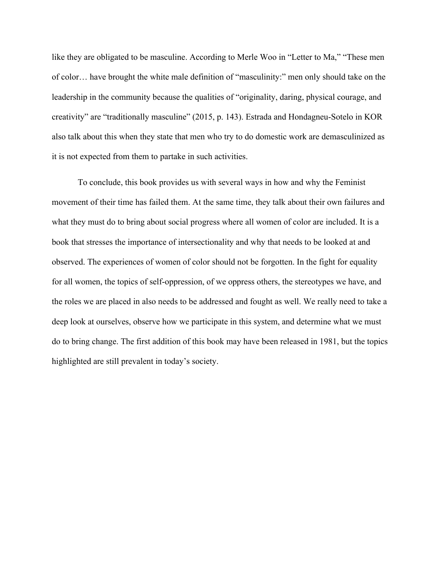like they are obligated to be masculine. According to Merle Woo in "Letter to Ma," "These men of color… have brought the white male definition of "masculinity:" men only should take on the leadership in the community because the qualities of "originality, daring, physical courage, and creativity" are "traditionally masculine" (2015, p. 143). Estrada and Hondagneu-Sotelo in KOR also talk about this when they state that men who try to do domestic work are demasculinized as it is not expected from them to partake in such activities.

To conclude, this book provides us with several ways in how and why the Feminist movement of their time has failed them. At the same time, they talk about their own failures and what they must do to bring about social progress where all women of color are included. It is a book that stresses the importance of intersectionality and why that needs to be looked at and observed. The experiences of women of color should not be forgotten. In the fight for equality for all women, the topics of self-oppression, of we oppress others, the stereotypes we have, and the roles we are placed in also needs to be addressed and fought as well. We really need to take a deep look at ourselves, observe how we participate in this system, and determine what we must do to bring change. The first addition of this book may have been released in 1981, but the topics highlighted are still prevalent in today's society.